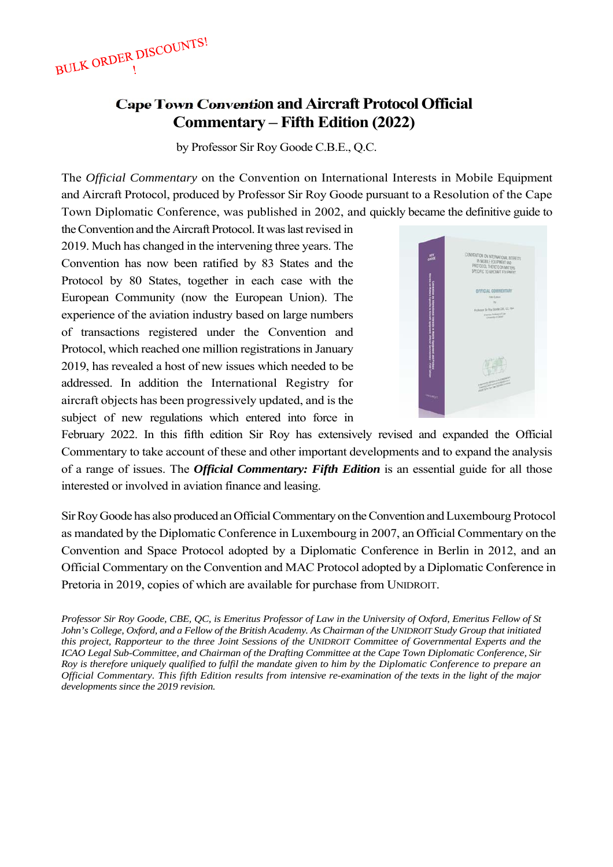BULK ORDER DISCOUNTS!

# **Cape Town Convention and Aircraft Protocol Official Commentary – Fifth Edition (2022)**

by Professor Sir Roy Goode C.B.E., Q.C.

The *Official Commentary* on the Convention on International Interests in Mobile Equipment and Aircraft Protocol, produced by Professor Sir Roy Goode pursuant to a Resolution of the Cape Town Diplomatic Conference, was published in 2002, and quickly became the definitive guide to

the Convention and the Aircraft Protocol. It was last revised in 2019. Much has changed in the intervening three years. The Convention has now been ratified by 83 States and the Protocol by 80 States, together in each case with the European Community (now the European Union). The experience of the aviation industry based on large numbers of transactions registered under the Convention and Protocol, which reached one million registrations in January 2019, has revealed a host of new issues which needed to be addressed. In addition the International Registry for aircraft objects has been progressively updated, and is the subject of new regulations which entered into force in



February 2022. In this fifth edition Sir Roy has extensively revised and expanded the Official Commentary to take account of these and other important developments and to expand the analysis of a range of issues. The *Official Commentary: Fifth Edition* is an essential guide for all those interested or involved in aviation finance and leasing.

Sir Roy Goode has also produced an Official Commentary on the Convention and Luxembourg Protocol as mandated by the Diplomatic Conference in Luxembourg in 2007, an Official Commentary on the Convention and Space Protocol adopted by a Diplomatic Conference in Berlin in 2012, and an Official Commentary on the Convention and MAC Protocol adopted by a Diplomatic Conference in Pretoria in 2019, copies of which are available for purchase from UNIDROIT.

*Professor Sir Roy Goode, CBE, QC, is Emeritus Professor of Law in the University of Oxford, Emeritus Fellow of St John's College, Oxford, and a Fellow of the British Academy. As Chairman of the UNIDROIT Study Group that initiated this project, Rapporteur to the three Joint Sessions of the UNIDROIT Committee of Governmental Experts and the ICAO Legal Sub-Committee, and Chairman of the Drafting Committee at the Cape Town Diplomatic Conference, Sir Roy is therefore uniquely qualified to fulfil the mandate given to him by the Diplomatic Conference to prepare an Official Commentary. This fifth Edition results from intensive re-examination of the texts in the light of the major developments since the 2019 revision.*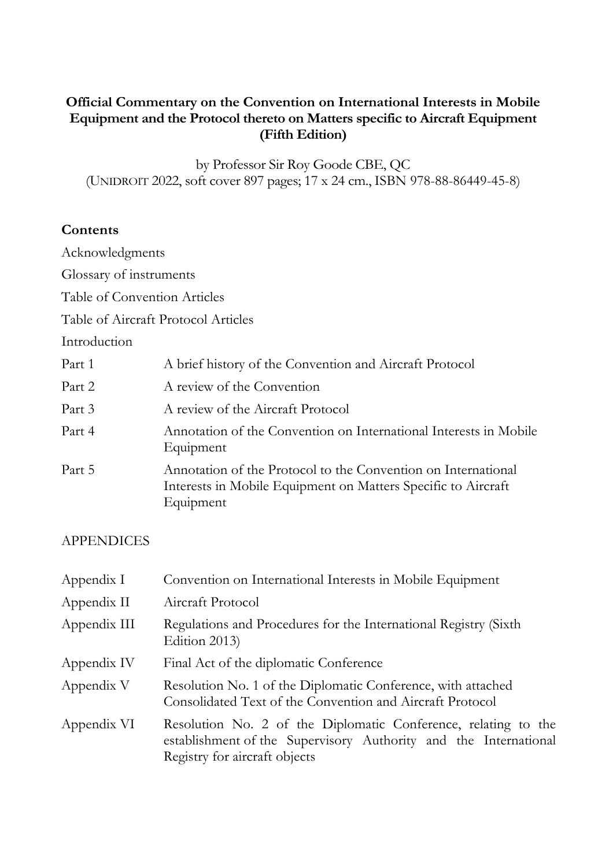## **Official Commentary on the Convention on International Interests in Mobile Equipment and the Protocol thereto on Matters specific to Aircraft Equipment (Fifth Edition)**

by Professor Sir Roy Goode CBE, QC (UNIDROIT 2022, soft cover 897 pages; 17 x 24 cm., ISBN 978-88-86449-45-8)

## **Contents**

Acknowledgments

Glossary of instruments

Table of Convention Articles

Table of Aircraft Protocol Articles

Introduction

| Part 1 | A brief history of the Convention and Aircraft Protocol                                                                                     |
|--------|---------------------------------------------------------------------------------------------------------------------------------------------|
| Part 2 | A review of the Convention                                                                                                                  |
| Part 3 | A review of the Aircraft Protocol                                                                                                           |
| Part 4 | Annotation of the Convention on International Interests in Mobile<br>Equipment                                                              |
| Part 5 | Annotation of the Protocol to the Convention on International<br>Interests in Mobile Equipment on Matters Specific to Aircraft<br>Equipment |

## APPENDICES

| Appendix I   | Convention on International Interests in Mobile Equipment                                                                                                           |  |  |  |  |
|--------------|---------------------------------------------------------------------------------------------------------------------------------------------------------------------|--|--|--|--|
| Appendix II  | Aircraft Protocol                                                                                                                                                   |  |  |  |  |
| Appendix III | Regulations and Procedures for the International Registry (Sixth<br>Edition 2013)                                                                                   |  |  |  |  |
| Appendix IV  | Final Act of the diplomatic Conference                                                                                                                              |  |  |  |  |
| Appendix V   | Resolution No. 1 of the Diplomatic Conference, with attached<br>Consolidated Text of the Convention and Aircraft Protocol                                           |  |  |  |  |
| Appendix VI  | Resolution No. 2 of the Diplomatic Conference, relating to the<br>establishment of the Supervisory Authority and the International<br>Registry for aircraft objects |  |  |  |  |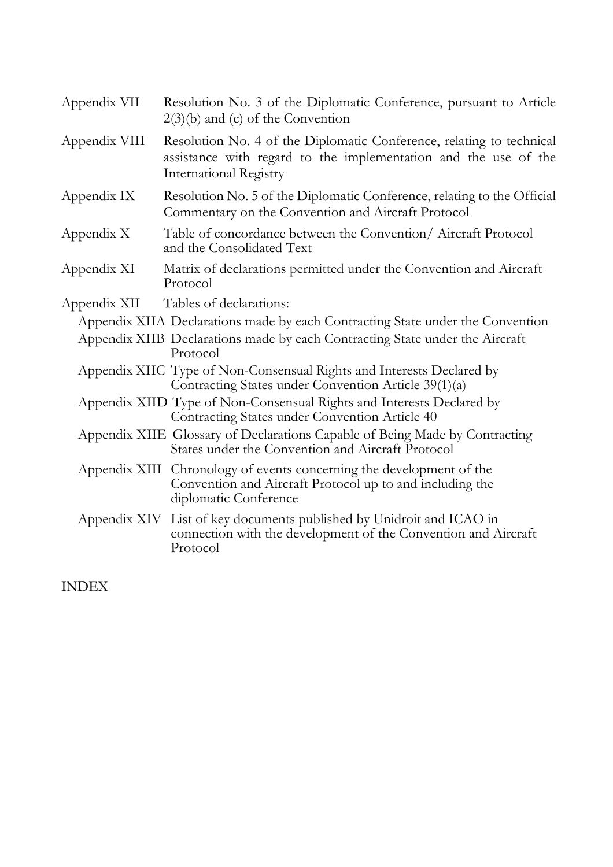| Appendix VII  | Resolution No. 3 of the Diplomatic Conference, pursuant to Article<br>$2(3)(b)$ and (c) of the Convention                                                                |  |  |  |  |
|---------------|--------------------------------------------------------------------------------------------------------------------------------------------------------------------------|--|--|--|--|
| Appendix VIII | Resolution No. 4 of the Diplomatic Conference, relating to technical<br>assistance with regard to the implementation and the use of the<br><b>International Registry</b> |  |  |  |  |
| Appendix IX   | Resolution No. 5 of the Diplomatic Conference, relating to the Official<br>Commentary on the Convention and Aircraft Protocol                                            |  |  |  |  |
| Appendix X    | Table of concordance between the Convention/ Aircraft Protocol<br>and the Consolidated Text                                                                              |  |  |  |  |
| Appendix XI   | Matrix of declarations permitted under the Convention and Aircraft<br>Protocol                                                                                           |  |  |  |  |
| Appendix XII  | Tables of declarations:                                                                                                                                                  |  |  |  |  |
|               | Appendix XIIA Declarations made by each Contracting State under the Convention                                                                                           |  |  |  |  |
|               | Appendix XIIB Declarations made by each Contracting State under the Aircraft<br>Protocol                                                                                 |  |  |  |  |
|               | Appendix XIIC Type of Non-Consensual Rights and Interests Declared by<br>Contracting States under Convention Article 39(1)(a)                                            |  |  |  |  |
|               | Appendix XIID Type of Non-Consensual Rights and Interests Declared by<br>Contracting States under Convention Article 40                                                  |  |  |  |  |
|               | Appendix XIIE Glossary of Declarations Capable of Being Made by Contracting<br>States under the Convention and Aircraft Protocol                                         |  |  |  |  |
|               | Appendix XIII Chronology of events concerning the development of the<br>Convention and Aircraft Protocol up to and including the<br>diplomatic Conference                |  |  |  |  |
|               | Appendix XIV List of key documents published by Unidroit and ICAO in<br>connection with the development of the Convention and Aircraft<br>Protocol                       |  |  |  |  |

INDEX